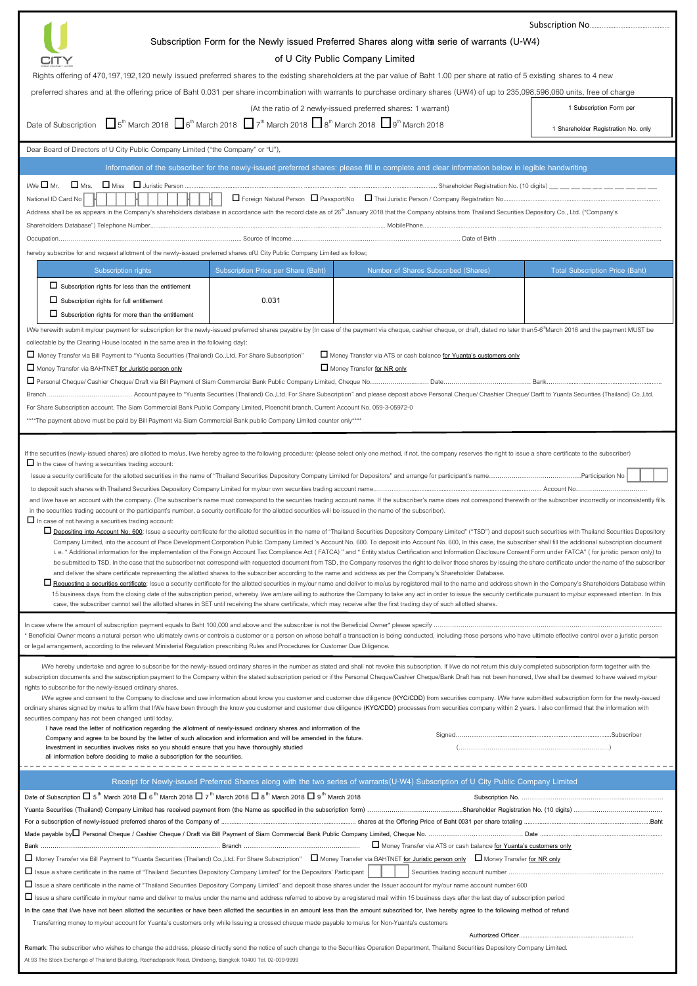| Subscription Form for the Newly issued Preferred Shares along with serie of warrants (U-W4)                                                                                                                                                                                                                                                                                                                                                                                                                                                                                                                                                                                                                                                                                                                                                                                                                                                                                                                                                                                                                                                                                                                                                                                                                                                                                                                                                                                                                                                                                                                                                                                                                                                                                                                                                                                                                                                                                                                                                                                                                                                                                                                                                                                                                                                                                                                                                                                                                                                                                                                                                                                                                                                                                                                                                                                                                                                                                                                                                                                                                                                                                                                                                                                                                                                                         |                                     |                                                                                                                                                                                                                                          |                                        |  |  |
|---------------------------------------------------------------------------------------------------------------------------------------------------------------------------------------------------------------------------------------------------------------------------------------------------------------------------------------------------------------------------------------------------------------------------------------------------------------------------------------------------------------------------------------------------------------------------------------------------------------------------------------------------------------------------------------------------------------------------------------------------------------------------------------------------------------------------------------------------------------------------------------------------------------------------------------------------------------------------------------------------------------------------------------------------------------------------------------------------------------------------------------------------------------------------------------------------------------------------------------------------------------------------------------------------------------------------------------------------------------------------------------------------------------------------------------------------------------------------------------------------------------------------------------------------------------------------------------------------------------------------------------------------------------------------------------------------------------------------------------------------------------------------------------------------------------------------------------------------------------------------------------------------------------------------------------------------------------------------------------------------------------------------------------------------------------------------------------------------------------------------------------------------------------------------------------------------------------------------------------------------------------------------------------------------------------------------------------------------------------------------------------------------------------------------------------------------------------------------------------------------------------------------------------------------------------------------------------------------------------------------------------------------------------------------------------------------------------------------------------------------------------------------------------------------------------------------------------------------------------------------------------------------------------------------------------------------------------------------------------------------------------------------------------------------------------------------------------------------------------------------------------------------------------------------------------------------------------------------------------------------------------------------------------------------------------------------------------------------------------------|-------------------------------------|------------------------------------------------------------------------------------------------------------------------------------------------------------------------------------------------------------------------------------------|----------------------------------------|--|--|
| of U City Public Company Limited<br><b>CITY</b>                                                                                                                                                                                                                                                                                                                                                                                                                                                                                                                                                                                                                                                                                                                                                                                                                                                                                                                                                                                                                                                                                                                                                                                                                                                                                                                                                                                                                                                                                                                                                                                                                                                                                                                                                                                                                                                                                                                                                                                                                                                                                                                                                                                                                                                                                                                                                                                                                                                                                                                                                                                                                                                                                                                                                                                                                                                                                                                                                                                                                                                                                                                                                                                                                                                                                                                     |                                     |                                                                                                                                                                                                                                          |                                        |  |  |
|                                                                                                                                                                                                                                                                                                                                                                                                                                                                                                                                                                                                                                                                                                                                                                                                                                                                                                                                                                                                                                                                                                                                                                                                                                                                                                                                                                                                                                                                                                                                                                                                                                                                                                                                                                                                                                                                                                                                                                                                                                                                                                                                                                                                                                                                                                                                                                                                                                                                                                                                                                                                                                                                                                                                                                                                                                                                                                                                                                                                                                                                                                                                                                                                                                                                                                                                                                     |                                     | Rights offering of 470,197,192,120 newly issued preferred shares to the existing shareholders at the par value of Baht 1.00 per share at ratio of 5 existing shares to 4 new                                                             |                                        |  |  |
|                                                                                                                                                                                                                                                                                                                                                                                                                                                                                                                                                                                                                                                                                                                                                                                                                                                                                                                                                                                                                                                                                                                                                                                                                                                                                                                                                                                                                                                                                                                                                                                                                                                                                                                                                                                                                                                                                                                                                                                                                                                                                                                                                                                                                                                                                                                                                                                                                                                                                                                                                                                                                                                                                                                                                                                                                                                                                                                                                                                                                                                                                                                                                                                                                                                                                                                                                                     |                                     | preferred shares and at the offering price of Baht 0.031 per share incombination with warrants to purchase ordinary shares (UW4) of up to 235,098,596,060 units, free of charge                                                          |                                        |  |  |
| 1 Subscription Form per<br>(At the ratio of 2 newly-issued preferred shares: 1 warrant)                                                                                                                                                                                                                                                                                                                                                                                                                                                                                                                                                                                                                                                                                                                                                                                                                                                                                                                                                                                                                                                                                                                                                                                                                                                                                                                                                                                                                                                                                                                                                                                                                                                                                                                                                                                                                                                                                                                                                                                                                                                                                                                                                                                                                                                                                                                                                                                                                                                                                                                                                                                                                                                                                                                                                                                                                                                                                                                                                                                                                                                                                                                                                                                                                                                                             |                                     |                                                                                                                                                                                                                                          |                                        |  |  |
| Date of Subscription $\Box$ 5 <sup>th</sup> March 2018 $\Box$ 6 <sup>th</sup> March 2018 $\Box$ 7 <sup>th</sup> March 2018 $\Box$ 8 <sup>th</sup> March 2018 $\Box$ 9 <sup>th</sup> March 2018                                                                                                                                                                                                                                                                                                                                                                                                                                                                                                                                                                                                                                                                                                                                                                                                                                                                                                                                                                                                                                                                                                                                                                                                                                                                                                                                                                                                                                                                                                                                                                                                                                                                                                                                                                                                                                                                                                                                                                                                                                                                                                                                                                                                                                                                                                                                                                                                                                                                                                                                                                                                                                                                                                                                                                                                                                                                                                                                                                                                                                                                                                                                                                      |                                     |                                                                                                                                                                                                                                          | 1 Shareholder Registration No. only    |  |  |
|                                                                                                                                                                                                                                                                                                                                                                                                                                                                                                                                                                                                                                                                                                                                                                                                                                                                                                                                                                                                                                                                                                                                                                                                                                                                                                                                                                                                                                                                                                                                                                                                                                                                                                                                                                                                                                                                                                                                                                                                                                                                                                                                                                                                                                                                                                                                                                                                                                                                                                                                                                                                                                                                                                                                                                                                                                                                                                                                                                                                                                                                                                                                                                                                                                                                                                                                                                     |                                     |                                                                                                                                                                                                                                          |                                        |  |  |
| Dear Board of Directors of U City Public Company Limited ("the Company" or "U"),                                                                                                                                                                                                                                                                                                                                                                                                                                                                                                                                                                                                                                                                                                                                                                                                                                                                                                                                                                                                                                                                                                                                                                                                                                                                                                                                                                                                                                                                                                                                                                                                                                                                                                                                                                                                                                                                                                                                                                                                                                                                                                                                                                                                                                                                                                                                                                                                                                                                                                                                                                                                                                                                                                                                                                                                                                                                                                                                                                                                                                                                                                                                                                                                                                                                                    |                                     |                                                                                                                                                                                                                                          |                                        |  |  |
|                                                                                                                                                                                                                                                                                                                                                                                                                                                                                                                                                                                                                                                                                                                                                                                                                                                                                                                                                                                                                                                                                                                                                                                                                                                                                                                                                                                                                                                                                                                                                                                                                                                                                                                                                                                                                                                                                                                                                                                                                                                                                                                                                                                                                                                                                                                                                                                                                                                                                                                                                                                                                                                                                                                                                                                                                                                                                                                                                                                                                                                                                                                                                                                                                                                                                                                                                                     |                                     | Information of the subscriber for the newly-issued preferred shares: please fill in complete and clear information below in legible handwriting                                                                                          |                                        |  |  |
| $I/We \square Mr.$<br>$\square$ Mrs.                                                                                                                                                                                                                                                                                                                                                                                                                                                                                                                                                                                                                                                                                                                                                                                                                                                                                                                                                                                                                                                                                                                                                                                                                                                                                                                                                                                                                                                                                                                                                                                                                                                                                                                                                                                                                                                                                                                                                                                                                                                                                                                                                                                                                                                                                                                                                                                                                                                                                                                                                                                                                                                                                                                                                                                                                                                                                                                                                                                                                                                                                                                                                                                                                                                                                                                                |                                     |                                                                                                                                                                                                                                          |                                        |  |  |
| National ID Card No                                                                                                                                                                                                                                                                                                                                                                                                                                                                                                                                                                                                                                                                                                                                                                                                                                                                                                                                                                                                                                                                                                                                                                                                                                                                                                                                                                                                                                                                                                                                                                                                                                                                                                                                                                                                                                                                                                                                                                                                                                                                                                                                                                                                                                                                                                                                                                                                                                                                                                                                                                                                                                                                                                                                                                                                                                                                                                                                                                                                                                                                                                                                                                                                                                                                                                                                                 |                                     |                                                                                                                                                                                                                                          |                                        |  |  |
| Address shall be as appears in the Company's shareholders database in accordance with the record date as of 26 <sup>th</sup> January 2018 that the Company obtains from Thailand Securities Depository Co., Ltd. ("Company's                                                                                                                                                                                                                                                                                                                                                                                                                                                                                                                                                                                                                                                                                                                                                                                                                                                                                                                                                                                                                                                                                                                                                                                                                                                                                                                                                                                                                                                                                                                                                                                                                                                                                                                                                                                                                                                                                                                                                                                                                                                                                                                                                                                                                                                                                                                                                                                                                                                                                                                                                                                                                                                                                                                                                                                                                                                                                                                                                                                                                                                                                                                                        |                                     |                                                                                                                                                                                                                                          |                                        |  |  |
|                                                                                                                                                                                                                                                                                                                                                                                                                                                                                                                                                                                                                                                                                                                                                                                                                                                                                                                                                                                                                                                                                                                                                                                                                                                                                                                                                                                                                                                                                                                                                                                                                                                                                                                                                                                                                                                                                                                                                                                                                                                                                                                                                                                                                                                                                                                                                                                                                                                                                                                                                                                                                                                                                                                                                                                                                                                                                                                                                                                                                                                                                                                                                                                                                                                                                                                                                                     |                                     |                                                                                                                                                                                                                                          |                                        |  |  |
| hereby subscribe for and request allotment of the newly-issued preferred shares of U City Public Company Limited as follow;                                                                                                                                                                                                                                                                                                                                                                                                                                                                                                                                                                                                                                                                                                                                                                                                                                                                                                                                                                                                                                                                                                                                                                                                                                                                                                                                                                                                                                                                                                                                                                                                                                                                                                                                                                                                                                                                                                                                                                                                                                                                                                                                                                                                                                                                                                                                                                                                                                                                                                                                                                                                                                                                                                                                                                                                                                                                                                                                                                                                                                                                                                                                                                                                                                         |                                     |                                                                                                                                                                                                                                          |                                        |  |  |
| Subscription rights                                                                                                                                                                                                                                                                                                                                                                                                                                                                                                                                                                                                                                                                                                                                                                                                                                                                                                                                                                                                                                                                                                                                                                                                                                                                                                                                                                                                                                                                                                                                                                                                                                                                                                                                                                                                                                                                                                                                                                                                                                                                                                                                                                                                                                                                                                                                                                                                                                                                                                                                                                                                                                                                                                                                                                                                                                                                                                                                                                                                                                                                                                                                                                                                                                                                                                                                                 | Subscription Price per Share (Baht) | Number of Shares Subscribed (Shares)                                                                                                                                                                                                     | <b>Total Subscription Price (Baht)</b> |  |  |
| $\Box$ Subscription rights for less than the entitlement                                                                                                                                                                                                                                                                                                                                                                                                                                                                                                                                                                                                                                                                                                                                                                                                                                                                                                                                                                                                                                                                                                                                                                                                                                                                                                                                                                                                                                                                                                                                                                                                                                                                                                                                                                                                                                                                                                                                                                                                                                                                                                                                                                                                                                                                                                                                                                                                                                                                                                                                                                                                                                                                                                                                                                                                                                                                                                                                                                                                                                                                                                                                                                                                                                                                                                            |                                     |                                                                                                                                                                                                                                          |                                        |  |  |
| $\Box$ Subscription rights for full entitlement                                                                                                                                                                                                                                                                                                                                                                                                                                                                                                                                                                                                                                                                                                                                                                                                                                                                                                                                                                                                                                                                                                                                                                                                                                                                                                                                                                                                                                                                                                                                                                                                                                                                                                                                                                                                                                                                                                                                                                                                                                                                                                                                                                                                                                                                                                                                                                                                                                                                                                                                                                                                                                                                                                                                                                                                                                                                                                                                                                                                                                                                                                                                                                                                                                                                                                                     | 0.031                               |                                                                                                                                                                                                                                          |                                        |  |  |
| $\Box$ Subscription rights for more than the entitlement                                                                                                                                                                                                                                                                                                                                                                                                                                                                                                                                                                                                                                                                                                                                                                                                                                                                                                                                                                                                                                                                                                                                                                                                                                                                                                                                                                                                                                                                                                                                                                                                                                                                                                                                                                                                                                                                                                                                                                                                                                                                                                                                                                                                                                                                                                                                                                                                                                                                                                                                                                                                                                                                                                                                                                                                                                                                                                                                                                                                                                                                                                                                                                                                                                                                                                            |                                     |                                                                                                                                                                                                                                          |                                        |  |  |
|                                                                                                                                                                                                                                                                                                                                                                                                                                                                                                                                                                                                                                                                                                                                                                                                                                                                                                                                                                                                                                                                                                                                                                                                                                                                                                                                                                                                                                                                                                                                                                                                                                                                                                                                                                                                                                                                                                                                                                                                                                                                                                                                                                                                                                                                                                                                                                                                                                                                                                                                                                                                                                                                                                                                                                                                                                                                                                                                                                                                                                                                                                                                                                                                                                                                                                                                                                     |                                     | I/We herewith submit my/our payment for subscription for the newly-issued preferred shares payable by (In case of the payment via cheque, cashier cheque, or draft, dated no later than 5-6 <sup>n</sup> March 2018 and the payment MUST |                                        |  |  |
| collectable by the Clearing House located in the same area in the following day):                                                                                                                                                                                                                                                                                                                                                                                                                                                                                                                                                                                                                                                                                                                                                                                                                                                                                                                                                                                                                                                                                                                                                                                                                                                                                                                                                                                                                                                                                                                                                                                                                                                                                                                                                                                                                                                                                                                                                                                                                                                                                                                                                                                                                                                                                                                                                                                                                                                                                                                                                                                                                                                                                                                                                                                                                                                                                                                                                                                                                                                                                                                                                                                                                                                                                   |                                     |                                                                                                                                                                                                                                          |                                        |  |  |
| □ Money Transfer via Bill Payment to "Yuanta Securities (Thailand) Co.,Ltd. For Share Subscription"<br>Money Transfer via ATS or cash balance for Yuanta's customers only                                                                                                                                                                                                                                                                                                                                                                                                                                                                                                                                                                                                                                                                                                                                                                                                                                                                                                                                                                                                                                                                                                                                                                                                                                                                                                                                                                                                                                                                                                                                                                                                                                                                                                                                                                                                                                                                                                                                                                                                                                                                                                                                                                                                                                                                                                                                                                                                                                                                                                                                                                                                                                                                                                                                                                                                                                                                                                                                                                                                                                                                                                                                                                                           |                                     |                                                                                                                                                                                                                                          |                                        |  |  |
| Money Transfer via BAHTNET for Juristic person only                                                                                                                                                                                                                                                                                                                                                                                                                                                                                                                                                                                                                                                                                                                                                                                                                                                                                                                                                                                                                                                                                                                                                                                                                                                                                                                                                                                                                                                                                                                                                                                                                                                                                                                                                                                                                                                                                                                                                                                                                                                                                                                                                                                                                                                                                                                                                                                                                                                                                                                                                                                                                                                                                                                                                                                                                                                                                                                                                                                                                                                                                                                                                                                                                                                                                                                 |                                     | Money Transfer for NR only                                                                                                                                                                                                               |                                        |  |  |
|                                                                                                                                                                                                                                                                                                                                                                                                                                                                                                                                                                                                                                                                                                                                                                                                                                                                                                                                                                                                                                                                                                                                                                                                                                                                                                                                                                                                                                                                                                                                                                                                                                                                                                                                                                                                                                                                                                                                                                                                                                                                                                                                                                                                                                                                                                                                                                                                                                                                                                                                                                                                                                                                                                                                                                                                                                                                                                                                                                                                                                                                                                                                                                                                                                                                                                                                                                     |                                     |                                                                                                                                                                                                                                          |                                        |  |  |
|                                                                                                                                                                                                                                                                                                                                                                                                                                                                                                                                                                                                                                                                                                                                                                                                                                                                                                                                                                                                                                                                                                                                                                                                                                                                                                                                                                                                                                                                                                                                                                                                                                                                                                                                                                                                                                                                                                                                                                                                                                                                                                                                                                                                                                                                                                                                                                                                                                                                                                                                                                                                                                                                                                                                                                                                                                                                                                                                                                                                                                                                                                                                                                                                                                                                                                                                                                     |                                     |                                                                                                                                                                                                                                          |                                        |  |  |
| For Share Subscription account, The Siam Commercial Bank Public Company Limited, Ploenchit branch, Current Account No. 059-3-05972-0                                                                                                                                                                                                                                                                                                                                                                                                                                                                                                                                                                                                                                                                                                                                                                                                                                                                                                                                                                                                                                                                                                                                                                                                                                                                                                                                                                                                                                                                                                                                                                                                                                                                                                                                                                                                                                                                                                                                                                                                                                                                                                                                                                                                                                                                                                                                                                                                                                                                                                                                                                                                                                                                                                                                                                                                                                                                                                                                                                                                                                                                                                                                                                                                                                |                                     |                                                                                                                                                                                                                                          |                                        |  |  |
| ****The payment above must be paid by Bill Payment via Siam Commercial Bank public Company Limited counter only****                                                                                                                                                                                                                                                                                                                                                                                                                                                                                                                                                                                                                                                                                                                                                                                                                                                                                                                                                                                                                                                                                                                                                                                                                                                                                                                                                                                                                                                                                                                                                                                                                                                                                                                                                                                                                                                                                                                                                                                                                                                                                                                                                                                                                                                                                                                                                                                                                                                                                                                                                                                                                                                                                                                                                                                                                                                                                                                                                                                                                                                                                                                                                                                                                                                 |                                     |                                                                                                                                                                                                                                          |                                        |  |  |
| If the securities (newly-issued shares) are allotted to me/us, I/we hereby agree to the following procedure: (please select only one method, if not, the company reserves the right to issue a share certificate to the subscr<br>$\Box$ In the case of having a securities trading account:<br>and I/we have an account with the company. (The subscriber's name must correspond to the securities trading account name. If the subscriber's name does not correspond therewith or the subscriber incorrectly or inconsistent<br>in the securities trading account or the participant's number, a security certificate for the allotted securities will be issued in the name of the subscriber).<br>$\Box$ In case of not having a securities trading account:<br>□ Depositing into Account No. 600: Issue a security certificate for the allotted securities in the name of "Thailand Securities Depository Company Limited" ("TSD") and deposit such securities with Thailand Securities Depo<br>Company Limited, into the account of Pace Development Corporation Public Company Limited 's Account No. 600. To deposit into Account No. 600, In this case, the subscriber shall fill the additional subscription document<br>i. e. " Additional information for the implementation of the Foreign Account Tax Compliance Act ( FATCA)" and " Entity status Certification and Information Disclosure Consent Form under FATCA" ( for juristic person only) t<br>be submitted to TSD. In the case that the subscriber not correspond with requested document from TSD, the Company reserves the right to deliver those shares by issuing the share certificate under the name of the subscriber<br>and deliver the share certificate representing the allotted shares to the subscriber according to the name and address as per the Company's Shareholder Database.<br>□ Requesting a securities certificate: Issue a security certificate for the allotted securities in my/our name and deliver to me/us by registered mail to the name and address shown in the Company's Shareholders Database w<br>15 business days from the closing date of the subscription period, whereby I/we am/are willing to authorize the Company to take any act in order to issue the security certificate pursuant to my/our expressed intention. In<br>case, the subscriber cannot sell the allotted shares in SET until receiving the share certificate, which may receive after the first trading day of such allotted shares.<br>* Beneficial Owner means a natural person who ultimately owns or controls a customer or a person on whose behalf a transaction is being conducted, including those persons who have ultimate effective control over a juristic<br>or legal arrangement, according to the relevant Ministerial Regulation prescribing Rules and Procedures for Customer Due Diligence.<br>I/We hereby undertake and agree to subscribe for the newly-issued ordinary shares in the number as stated and shall not revoke this subscription. If I/we do not return this duly completed subscription form together with th<br>subscription documents and the subscription payment to the Company within the stated subscription period or if the Personal Cheque/Cashier Cheque/Bank Draft has not been honored, I/we shall be deemed to have waived my/our |                                     |                                                                                                                                                                                                                                          |                                        |  |  |
| rights to subscribe for the newly-issued ordinary shares.<br>I/We agree and consent to the Company to disclose and use information about know you customer and customer due diligence (KYC/CDD) from securities company. I/We have submitted subscription form for the newly-issued<br>ordinary shares signed by me/us to affirm that I/We have been through the know you customer and customer due diligence (KYC/CDD) processes from securities company within 2 years. I also confirmed that the information with<br>securities company has not been changed until today.<br>I have read the letter of notification regarding the allotment of newly-issued ordinary shares and information of the<br>Company and agree to be bound by the letter of such allocation and information and will be amended in the future.<br>Investment in securities involves risks so you should ensure that you have thoroughly studied<br>all information before deciding to make a subscription for the securities.                                                                                                                                                                                                                                                                                                                                                                                                                                                                                                                                                                                                                                                                                                                                                                                                                                                                                                                                                                                                                                                                                                                                                                                                                                                                                                                                                                                                                                                                                                                                                                                                                                                                                                                                                                                                                                                                                                                                                                                                                                                                                                                                                                                                                                                                                                                                                           |                                     |                                                                                                                                                                                                                                          |                                        |  |  |
|                                                                                                                                                                                                                                                                                                                                                                                                                                                                                                                                                                                                                                                                                                                                                                                                                                                                                                                                                                                                                                                                                                                                                                                                                                                                                                                                                                                                                                                                                                                                                                                                                                                                                                                                                                                                                                                                                                                                                                                                                                                                                                                                                                                                                                                                                                                                                                                                                                                                                                                                                                                                                                                                                                                                                                                                                                                                                                                                                                                                                                                                                                                                                                                                                                                                                                                                                                     |                                     | Receipt for Newly-issued Preferred Shares along with the two series of warrants (U-W4) Subscription of U City Public Company Limited                                                                                                     |                                        |  |  |
| Date of Subscription $\Box$ 5 <sup>th</sup> March 2018 $\Box$ 6 <sup>th</sup> March 2018 $\Box$ 7 <sup>th</sup> March 2018 $\Box$ 8 <sup>th</sup> March 2018 $\Box$ 9 <sup>th</sup> March 2018                                                                                                                                                                                                                                                                                                                                                                                                                                                                                                                                                                                                                                                                                                                                                                                                                                                                                                                                                                                                                                                                                                                                                                                                                                                                                                                                                                                                                                                                                                                                                                                                                                                                                                                                                                                                                                                                                                                                                                                                                                                                                                                                                                                                                                                                                                                                                                                                                                                                                                                                                                                                                                                                                                                                                                                                                                                                                                                                                                                                                                                                                                                                                                      |                                     |                                                                                                                                                                                                                                          |                                        |  |  |
|                                                                                                                                                                                                                                                                                                                                                                                                                                                                                                                                                                                                                                                                                                                                                                                                                                                                                                                                                                                                                                                                                                                                                                                                                                                                                                                                                                                                                                                                                                                                                                                                                                                                                                                                                                                                                                                                                                                                                                                                                                                                                                                                                                                                                                                                                                                                                                                                                                                                                                                                                                                                                                                                                                                                                                                                                                                                                                                                                                                                                                                                                                                                                                                                                                                                                                                                                                     |                                     |                                                                                                                                                                                                                                          |                                        |  |  |
|                                                                                                                                                                                                                                                                                                                                                                                                                                                                                                                                                                                                                                                                                                                                                                                                                                                                                                                                                                                                                                                                                                                                                                                                                                                                                                                                                                                                                                                                                                                                                                                                                                                                                                                                                                                                                                                                                                                                                                                                                                                                                                                                                                                                                                                                                                                                                                                                                                                                                                                                                                                                                                                                                                                                                                                                                                                                                                                                                                                                                                                                                                                                                                                                                                                                                                                                                                     |                                     |                                                                                                                                                                                                                                          |                                        |  |  |
|                                                                                                                                                                                                                                                                                                                                                                                                                                                                                                                                                                                                                                                                                                                                                                                                                                                                                                                                                                                                                                                                                                                                                                                                                                                                                                                                                                                                                                                                                                                                                                                                                                                                                                                                                                                                                                                                                                                                                                                                                                                                                                                                                                                                                                                                                                                                                                                                                                                                                                                                                                                                                                                                                                                                                                                                                                                                                                                                                                                                                                                                                                                                                                                                                                                                                                                                                                     |                                     |                                                                                                                                                                                                                                          |                                        |  |  |
| □ Money Transfer via Bill Payment to "Yuanta Securities (Thailand) Co.,Ltd. For Share Subscription" □ Money Transfer via BAHTNET for Juristic person only □ Money Transfer for NR only                                                                                                                                                                                                                                                                                                                                                                                                                                                                                                                                                                                                                                                                                                                                                                                                                                                                                                                                                                                                                                                                                                                                                                                                                                                                                                                                                                                                                                                                                                                                                                                                                                                                                                                                                                                                                                                                                                                                                                                                                                                                                                                                                                                                                                                                                                                                                                                                                                                                                                                                                                                                                                                                                                                                                                                                                                                                                                                                                                                                                                                                                                                                                                              |                                     |                                                                                                                                                                                                                                          |                                        |  |  |
| □ Issue a share certificate in the name of "Thailand Securities Depository Company Limited" for the Depositors' Participant                                                                                                                                                                                                                                                                                                                                                                                                                                                                                                                                                                                                                                                                                                                                                                                                                                                                                                                                                                                                                                                                                                                                                                                                                                                                                                                                                                                                                                                                                                                                                                                                                                                                                                                                                                                                                                                                                                                                                                                                                                                                                                                                                                                                                                                                                                                                                                                                                                                                                                                                                                                                                                                                                                                                                                                                                                                                                                                                                                                                                                                                                                                                                                                                                                         |                                     |                                                                                                                                                                                                                                          |                                        |  |  |
| □ Issue a share certificate in the name of "Thailand Securities Depository Company Limited" and deposit those shares under the Issuer account for my/our name account number 600                                                                                                                                                                                                                                                                                                                                                                                                                                                                                                                                                                                                                                                                                                                                                                                                                                                                                                                                                                                                                                                                                                                                                                                                                                                                                                                                                                                                                                                                                                                                                                                                                                                                                                                                                                                                                                                                                                                                                                                                                                                                                                                                                                                                                                                                                                                                                                                                                                                                                                                                                                                                                                                                                                                                                                                                                                                                                                                                                                                                                                                                                                                                                                                    |                                     |                                                                                                                                                                                                                                          |                                        |  |  |
| ∐ Issue a share certificate in my/our name and deliver to me/us under the name and address referred to above by a registered mail within 15 business days after the last day of subscription period<br>In the case that I/we have not been allotted the securities or have been allotted the securities in an amount less than the amount subscribed for, I/we hereby agree to the following method of refund                                                                                                                                                                                                                                                                                                                                                                                                                                                                                                                                                                                                                                                                                                                                                                                                                                                                                                                                                                                                                                                                                                                                                                                                                                                                                                                                                                                                                                                                                                                                                                                                                                                                                                                                                                                                                                                                                                                                                                                                                                                                                                                                                                                                                                                                                                                                                                                                                                                                                                                                                                                                                                                                                                                                                                                                                                                                                                                                                       |                                     |                                                                                                                                                                                                                                          |                                        |  |  |
| Transferring money to my/our account for Yuanta's customers only while Issuing a crossed cheque made payable to me/us for Non-Yuanta's customers                                                                                                                                                                                                                                                                                                                                                                                                                                                                                                                                                                                                                                                                                                                                                                                                                                                                                                                                                                                                                                                                                                                                                                                                                                                                                                                                                                                                                                                                                                                                                                                                                                                                                                                                                                                                                                                                                                                                                                                                                                                                                                                                                                                                                                                                                                                                                                                                                                                                                                                                                                                                                                                                                                                                                                                                                                                                                                                                                                                                                                                                                                                                                                                                                    |                                     |                                                                                                                                                                                                                                          |                                        |  |  |
|                                                                                                                                                                                                                                                                                                                                                                                                                                                                                                                                                                                                                                                                                                                                                                                                                                                                                                                                                                                                                                                                                                                                                                                                                                                                                                                                                                                                                                                                                                                                                                                                                                                                                                                                                                                                                                                                                                                                                                                                                                                                                                                                                                                                                                                                                                                                                                                                                                                                                                                                                                                                                                                                                                                                                                                                                                                                                                                                                                                                                                                                                                                                                                                                                                                                                                                                                                     |                                     |                                                                                                                                                                                                                                          |                                        |  |  |
| Remark: The subscriber who wishes to change the address, please directly send the notice of such change to the Securities Operation Department, Thailand Securities Depository Company Limited.<br>At 93 The Stock Exchange of Thailand Building, Rachadapisek Road, Dindaeng, Bangkok 10400 Tel. 02-009-9999                                                                                                                                                                                                                                                                                                                                                                                                                                                                                                                                                                                                                                                                                                                                                                                                                                                                                                                                                                                                                                                                                                                                                                                                                                                                                                                                                                                                                                                                                                                                                                                                                                                                                                                                                                                                                                                                                                                                                                                                                                                                                                                                                                                                                                                                                                                                                                                                                                                                                                                                                                                                                                                                                                                                                                                                                                                                                                                                                                                                                                                       |                                     |                                                                                                                                                                                                                                          |                                        |  |  |